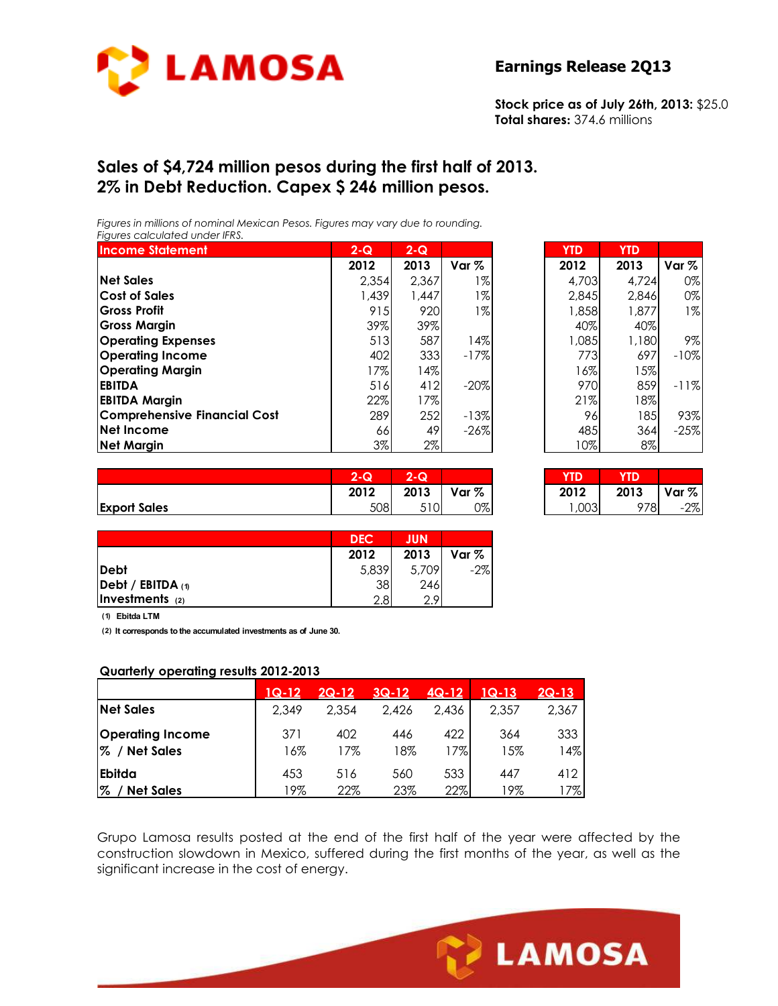

#### **Earnings Release 2Q13**

**Stock price as of July 26th, 2013:** \$25.0 **Total shares:** 374.6 millions

## **Sales of \$4,724 million pesos during the first half of 2013. 2% in Debt Reduction. Capex \$ 246 million pesos.**

*Figures in millions of nominal Mexican Pesos. Figures may vary due to rounding. Figures calculated under IFRS.* 

| <b>Income Statement</b>             | $2 - Q$ | $2 - Q$ |         | <b>YTD</b> | <b>YTD</b> |                  |
|-------------------------------------|---------|---------|---------|------------|------------|------------------|
|                                     | 2012    | 2013    | Var $%$ | 2012       | 2013       | Var <sub>%</sub> |
| <b>Net Sales</b>                    | 2.354   | 2.367   | 1%      | 4,703      | 4.724      | 0%               |
| <b>Cost of Sales</b>                | 1,439   | 1,447   | 1%      | 2.845      | 2.846      | 0%               |
| <b>Gross Profit</b>                 | 915     | 920     | $1\%$   | 1,858      | 1,877      | 1%               |
| <b>Gross Margin</b>                 | 39%     | 39%     |         | 40%        | 40%        |                  |
| <b>Operating Expenses</b>           | 513     | 587     | 14%l    | 1.085      | 1,180      | 9%               |
| <b>Operating Income</b>             | 402     | 333     | $-17%$  | 773        | 697        | $-10%$           |
| <b>Operating Margin</b>             | 17%     | $14\%$  |         | 16%        | 15%        |                  |
| <b>EBITDA</b>                       | 516     | 412     | $-20%$  | 970        | 859        | $-11%$           |
| <b>EBITDA Margin</b>                | 22%     | 17%     |         | 21%        | 18%        |                  |
| <b>Comprehensive Financial Cost</b> | 289     | 252     | $-13%$  | 96         | 185        | 93%              |
| Net Income                          | 66      | 49      | $-26\%$ | 485        | 364        | $-25%$           |
| <b>Net Margin</b>                   | 3%      | 2%      |         | 10%        | 8%         |                  |

| $2-Q$ | $2 - Q$ |        | <b>YTD</b> | <b>YTD</b> |                  |
|-------|---------|--------|------------|------------|------------------|
| 2012  | 2013    | Var %  | 2012       | 2013       | Var <sub>%</sub> |
| 2,354 | 2,367   | 1%     | 4,703      | 4.724      | 0%               |
| 1,439 | 1,447   | 1%     | 2,845      | 2,846      | 0%               |
| 915   | 920     | $1\%$  | 1,858      | 1,877      | $1\%$            |
| 39%   | 39%     |        | 40%        | 40%        |                  |
| 513   | 587     | 14%    | 1,085      | 1,180      | 9%               |
| 402   | 333     | $-17%$ | 773        | 697        | $-10%$           |
| 17%   | 14%     |        | 16%        | 15%        |                  |
| 516   | 412     | $-20%$ | 970        | 859        | $-11%$           |
| 22%   | 17%     |        | 21%        | 18%        |                  |
| 289   | 252     | $-13%$ | 96         | 185        | 93%              |
| 66    | 49      | $-26%$ | 485        | 364        | $-25%$           |
| 3%    | 2%      |        | 10%        | 8%         |                  |

|                     | $\sim$<br>:- W | $\sim$<br>u |       | <b>TD</b>        | YD.  |       |
|---------------------|----------------|-------------|-------|------------------|------|-------|
|                     | 2012           | 2013        | Var % | 2012             | 2013 | Var % |
| <b>Export Sales</b> | 508            | 510<br>، ب  | 0%    | $\sim$<br>. ,∪∪ູ | 978  | $-2%$ |

| $2 - Q$ | $2 - Q$ |       |      |      |            |
|---------|---------|-------|------|------|------------|
| 2012    | 2013    | Var % | 2012 | 2013 | $ Var \% $ |
| 508     |         | J%I   |      |      | $2\%$      |

|                     | <b>DEC</b>       | <b>JUN</b> |       |
|---------------------|------------------|------------|-------|
|                     | 2012             | 2013       | Var % |
| <b>IDebt</b>        | 5,839            | 5,709      | $-2%$ |
| Debt / EBITDA $(1)$ | 38               | 246        |       |
| Investments (2)     | 2.8 <sub>l</sub> | റ വ        |       |

**(1) Ebitda LTM**

**(2) It corresponds to the accumulated investments as of June 30.**

#### **Quarterly operating results 2012-2013**

|                                          | $1Q-12$    | $2Q-12$    | $3Q-12$    | $4Q-12$    | 1Q-13      | $2Q-13$    |
|------------------------------------------|------------|------------|------------|------------|------------|------------|
| <b>Net Sales</b>                         | 2,349      | 2.354      | 2.426      | 2.436      | 2,357      | 2,367      |
| <b>Operating Income</b><br>% / Net Sales | 371<br>16% | 402<br>17% | 446<br>18% | 422<br>17% | 364<br>15% | 333<br>14% |
| <b>Ebitda</b><br>%<br><b>Net Sales</b>   | 453<br>19% | 516<br>22% | 560<br>23% | 533<br>22% | 447<br>19% | 412<br>17% |

Grupo Lamosa results posted at the end of the first half of the year were affected by the construction slowdown in Mexico, suffered during the first months of the year, as well as the significant increase in the cost of energy.

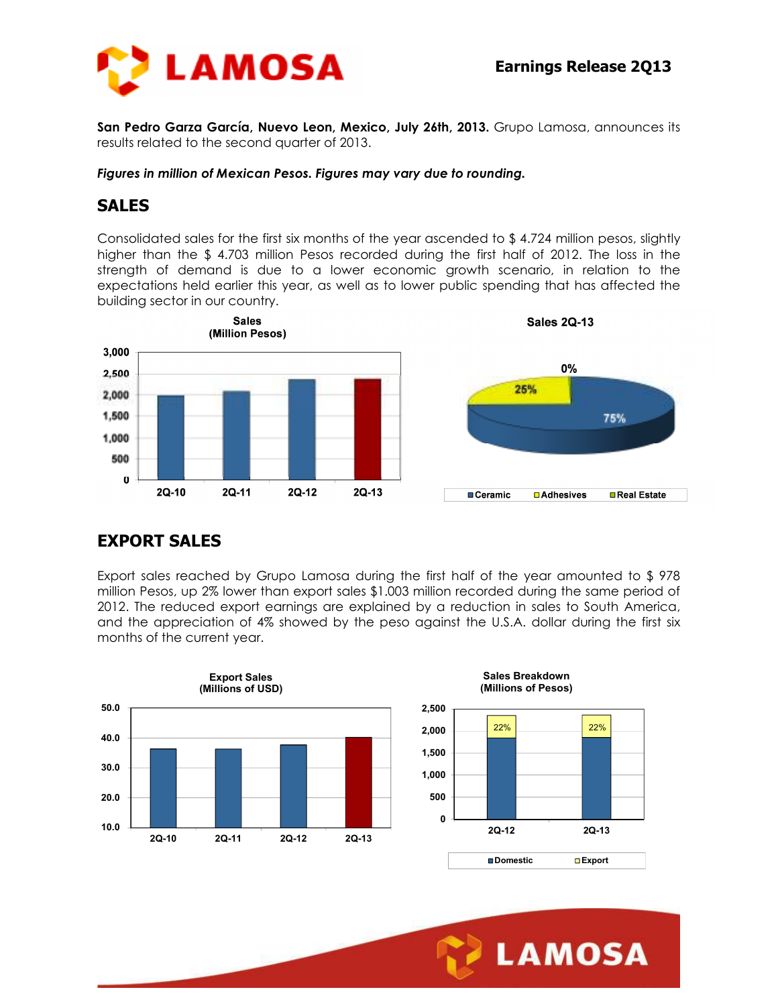

**San Pedro Garza García, Nuevo Leon, Mexico, July 26th, 2013.** Grupo Lamosa, announces its results related to the second quarter of 2013.

*Figures in million of Mexican Pesos. Figures may vary due to rounding.* 

## **SALES**

Consolidated sales for the first six months of the year ascended to \$ 4.724 million pesos, slightly higher than the \$ 4.703 million Pesos recorded during the first half of 2012. The loss in the strength of demand is due to a lower economic growth scenario, in relation to the expectations held earlier this year, as well as to lower public spending that has affected the building sector in our country.



# **EXPORT SALES**

Export sales reached by Grupo Lamosa during the first half of the year amounted to \$ 978 million Pesos, up 2% lower than export sales \$1.003 million recorded during the same period of 2012. The reduced export earnings are explained by a reduction in sales to South America, and the appreciation of 4% showed by the peso against the U.S.A. dollar during the first six months of the current year.

Ī





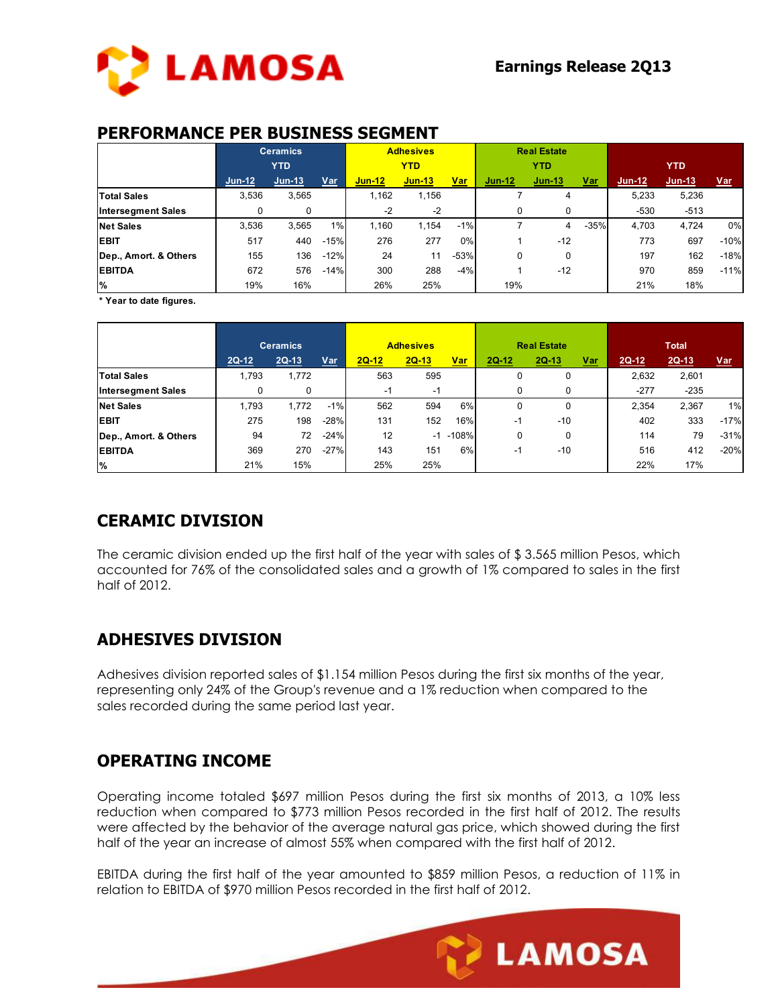

#### **PERFORMANCE PER BUSINESS SEGMENT**

|                           | <b>Ceramics</b> |            |        | <b>Adhesives</b> |          |            | <b>Real Estate</b> |          |            |          |        |            |
|---------------------------|-----------------|------------|--------|------------------|----------|------------|--------------------|----------|------------|----------|--------|------------|
|                           |                 | <b>YTD</b> |        | <b>YTD</b>       |          | <b>YTD</b> |                    |          | <b>YTD</b> |          |        |            |
|                           | $Jun-12$        | $Jun-13$   | Var    | $Jun-12$         | $Jun-13$ | <u>Var</u> | $Jun-12$           | $Jun-13$ | <u>Var</u> | $Jun-12$ | Jun-13 | <u>Var</u> |
| <b>Total Sales</b>        | 3.536           | 3,565      |        | 1.162            | 1.156    |            |                    | 4        |            | 5.233    | 5,236  |            |
| <b>Intersegment Sales</b> | 0               | 0          |        | -2               | $-2$     |            | O                  | 0        |            | $-530$   | $-513$ |            |
| <b>Net Sales</b>          | 3.536           | 3.565      | $1\%$  | 1.160            | 1.154    | $-1%$      |                    | 4        | $-35%$     | 4.703    | 4.724  | 0%         |
| <b>EBIT</b>               | 517             | 440        | $-15%$ | 276              | 277      | 0%         |                    | $-12$    |            | 773      | 697    | $-10%$     |
| Dep., Amort. & Others     | 155             | 136        | $-12%$ | 24               | 11       | $-53%$     | $\Omega$           | 0        |            | 197      | 162    | $-18%$     |
| <b>EBITDA</b>             | 672             | 576        | $-14%$ | 300              | 288      | $-4%$      |                    | $-12$    |            | 970      | 859    | $-11%$     |
| l%                        | 19%             | 16%        |        | 26%              | 25%      |            | 19%                |          |            | 21%      | 18%    |            |

**\* Year to date figures.**

|                           |         | <b>Ceramics</b> |            | <b>Adhesives</b> |         |            | <b>Real Estate</b> |           |            | <b>Total</b> |         |            |
|---------------------------|---------|-----------------|------------|------------------|---------|------------|--------------------|-----------|------------|--------------|---------|------------|
|                           | $2Q-12$ | $2Q-13$         | <b>Var</b> | $2Q-12$          | $2Q-13$ | <u>Var</u> | $2Q-12$            | $2Q - 13$ | <u>Var</u> | $2Q-12$      | $2Q-13$ | <u>Var</u> |
| <b>Total Sales</b>        | 1,793   | 1,772           |            | 563              | 595     |            |                    | 0         |            | 2,632        | 2,601   |            |
| <b>Intersegment Sales</b> | 0       | 0               |            | -1               | -1      |            |                    | 0         |            | $-277$       | $-235$  |            |
| <b>Net Sales</b>          | 1,793   | 1.772           | $-1%$      | 562              | 594     | 6%         |                    | 0         |            | 2.354        | 2,367   | 1%         |
| <b>EBIT</b>               | 275     | 198             | $-28%$     | 131              | 152     | 16%        | -1                 | $-10$     |            | 402          | 333     | $-17%$     |
| Dep., Amort. & Others     | 94      | 72              | $-24%$     | 12               | $-1$    | $-108%$    |                    | 0         |            | 114          | 79      | $-31%$     |
| <b>EBITDA</b>             | 369     | 270             | $-27%$     | 143              | 151     | 6%         | -1                 | $-10$     |            | 516          | 412     | $-20%$     |
| l%                        | 21%     | 15%             |            | 25%              | 25%     |            |                    |           |            | 22%          | 17%     |            |

## **CERAMIC DIVISION**

The ceramic division ended up the first half of the year with sales of \$ 3.565 million Pesos, which accounted for 76% of the consolidated sales and a growth of 1% compared to sales in the first half of 2012.

## **ADHESIVES DIVISION**

Adhesives division reported sales of \$1.154 million Pesos during the first six months of the year, representing only 24% of the Group's revenue and a 1% reduction when compared to the sales recorded during the same period last year.

## **OPERATING INCOME**

Operating income totaled \$697 million Pesos during the first six months of 2013, a 10% less reduction when compared to \$773 million Pesos recorded in the first half of 2012. The results were affected by the behavior of the average natural gas price, which showed during the first half of the year an increase of almost 55% when compared with the first half of 2012.

EBITDA during the first half of the year amounted to \$859 million Pesos, a reduction of 11% in relation to EBITDA of \$970 million Pesos recorded in the first half of 2012.

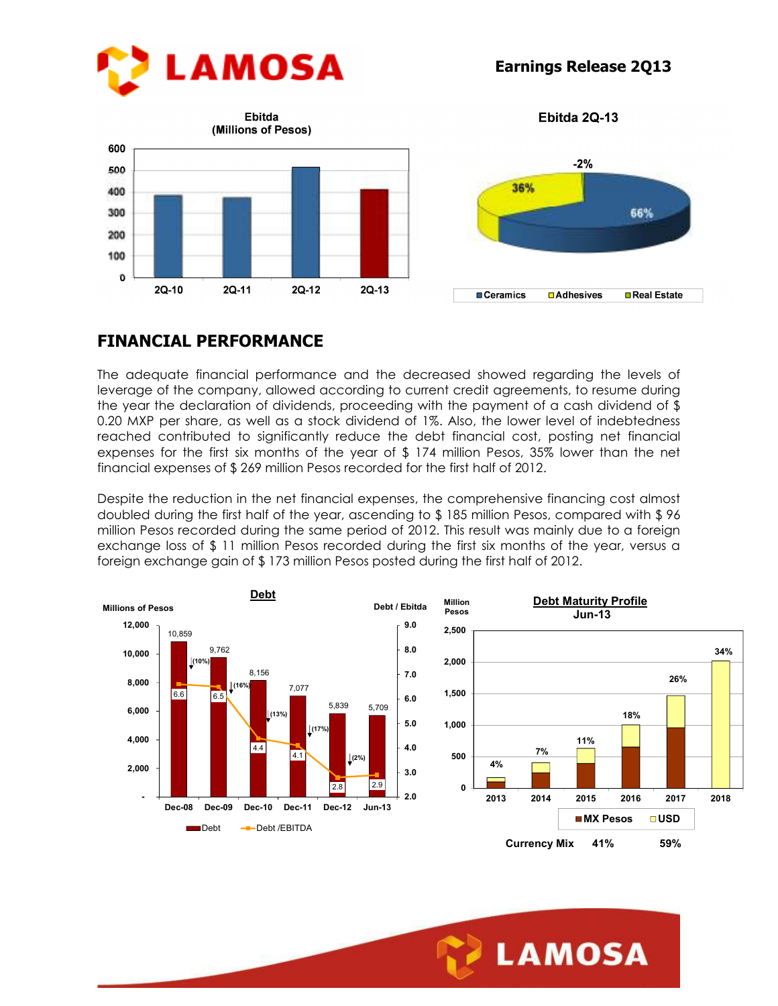

**Earnings Release 2Q13**

Ebitda 2Q-13





# **FINANCIAL PERFORMANCE**

The adequate financial performance and the decreased showed regarding the levels of leverage of the company, allowed according to current credit agreements, to resume during the year the declaration of dividends, proceeding with the payment of a cash dividend of \$ 0.20 MXP per share, as well as a stock dividend of 1%. Also, the lower level of indebtedness reached contributed to significantly reduce the debt financial cost, posting net financial expenses for the first six months of the year of \$ 174 million Pesos, 35% lower than the net financial expenses of \$ 269 million Pesos recorded for the first half of 2012.

Despite the reduction in the net financial expenses, the comprehensive financing cost almost doubled during the first half of the year, ascending to \$ 185 million Pesos, compared with \$ 96 million Pesos recorded during the same period of 2012. This result was mainly due to a foreign exchange loss of \$ 11 million Pesos recorded during the first six months of the year, versus a foreign exchange gain of \$ 173 million Pesos posted during the first half of 2012.



Ī